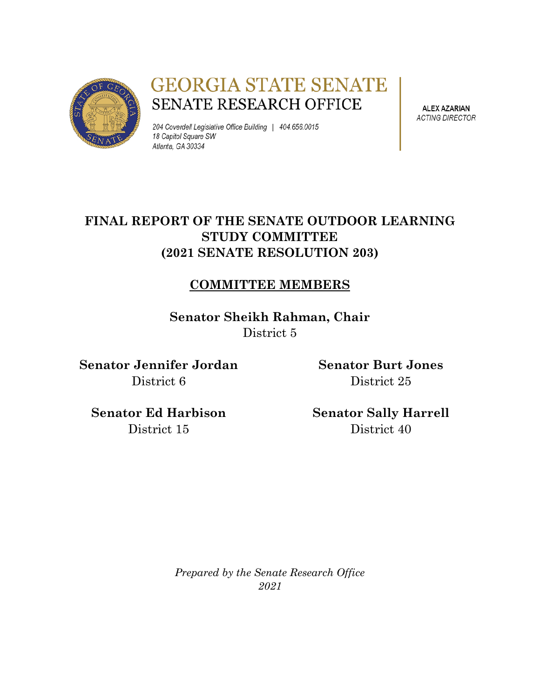

# **GEORGIA STATE SENATE** SENATE RESEARCH OFFICE

204 Coverdell Legislative Office Building | 404.656.0015 18 Capitol Square SW Atlanta, GA 30334

**ALEX AZARIAN ACTING DIRECTOR** 

## **FINAL REPORT OF THE SENATE OUTDOOR LEARNING STUDY COMMITTEE (2021 SENATE RESOLUTION 203)**

## **COMMITTEE MEMBERS**

**Senator Sheikh Rahman, Chair** District 5

**Senator Jennifer Jordan** District 6

**Senator Burt Jones** District 25

**Senator Ed Harbison** District 15

**Senator Sally Harrell** District 40

*Prepared by the Senate Research Office 2021*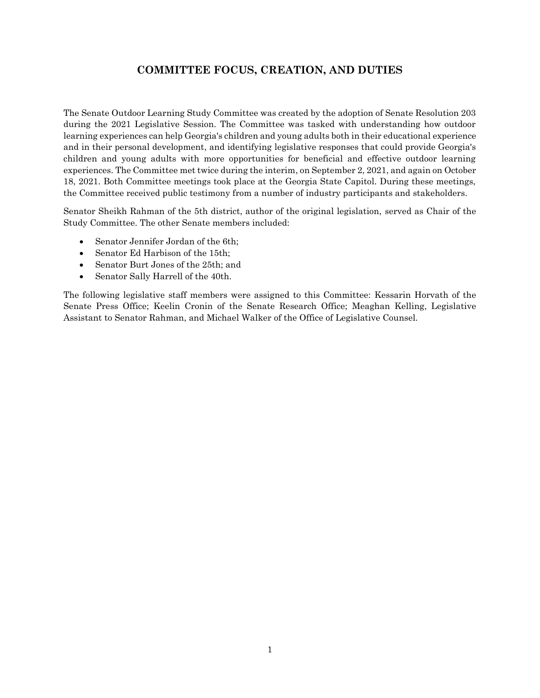### **COMMITTEE FOCUS, CREATION, AND DUTIES**

The Senate Outdoor Learning Study Committee was created by the adoption of Senate Resolution 203 during the 2021 Legislative Session. The Committee was tasked with understanding how outdoor learning experiences can help Georgia's children and young adults both in their educational experience and in their personal development, and identifying legislative responses that could provide Georgia's children and young adults with more opportunities for beneficial and effective outdoor learning experiences. The Committee met twice during the interim, on September 2, 2021, and again on October 18, 2021. Both Committee meetings took place at the Georgia State Capitol. During these meetings, the Committee received public testimony from a number of industry participants and stakeholders.

Senator Sheikh Rahman of the 5th district, author of the original legislation, served as Chair of the Study Committee. The other Senate members included:

- Senator Jennifer Jordan of the 6th;
- Senator Ed Harbison of the 15th;
- Senator Burt Jones of the 25th; and
- Senator Sally Harrell of the 40th.

The following legislative staff members were assigned to this Committee: Kessarin Horvath of the Senate Press Office; Keelin Cronin of the Senate Research Office; Meaghan Kelling, Legislative Assistant to Senator Rahman, and Michael Walker of the Office of Legislative Counsel.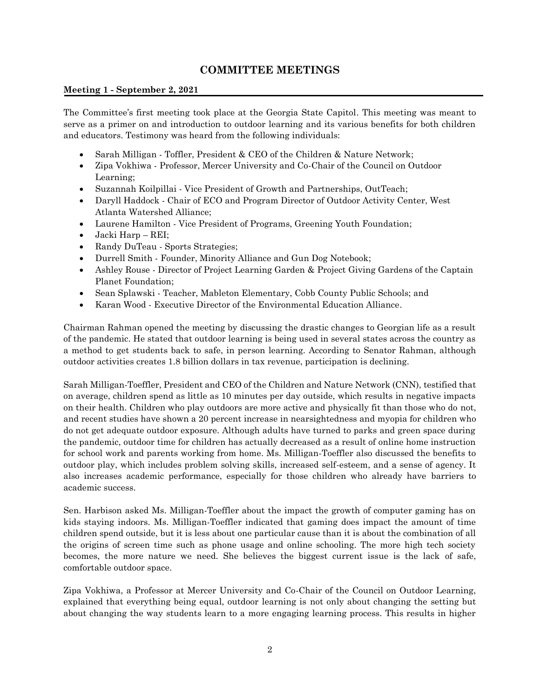### **COMMITTEE MEETINGS**

### **Meeting 1 - September 2, 2021**

The Committee's first meeting took place at the Georgia State Capitol. This meeting was meant to serve as a primer on and introduction to outdoor learning and its various benefits for both children and educators. Testimony was heard from the following individuals:

- Sarah Milligan Toffler, President & CEO of the Children & Nature Network;
- Zipa Vokhiwa Professor, Mercer University and Co-Chair of the Council on Outdoor Learning;
- Suzannah Koilpillai Vice President of Growth and Partnerships, OutTeach;
- Daryll Haddock Chair of ECO and Program Director of Outdoor Activity Center, West Atlanta Watershed Alliance;
- Laurene Hamilton Vice President of Programs, Greening Youth Foundation;
- Jacki Harp REI;
- Randy DuTeau Sports Strategies;
- Durrell Smith Founder, Minority Alliance and Gun Dog Notebook;
- Ashley Rouse Director of Project Learning Garden & Project Giving Gardens of the Captain Planet Foundation;
- Sean Splawski Teacher, Mableton Elementary, Cobb County Public Schools; and
- Karan Wood Executive Director of the Environmental Education Alliance.

Chairman Rahman opened the meeting by discussing the drastic changes to Georgian life as a result of the pandemic. He stated that outdoor learning is being used in several states across the country as a method to get students back to safe, in person learning. According to Senator Rahman, although outdoor activities creates 1.8 billion dollars in tax revenue, participation is declining.

Sarah Milligan-Toeffler, President and CEO of the Children and Nature Network (CNN), testified that on average, children spend as little as 10 minutes per day outside, which results in negative impacts on their health. Children who play outdoors are more active and physically fit than those who do not, and recent studies have shown a 20 percent increase in nearsightedness and myopia for children who do not get adequate outdoor exposure. Although adults have turned to parks and green space during the pandemic, outdoor time for children has actually decreased as a result of online home instruction for school work and parents working from home. Ms. Milligan-Toeffler also discussed the benefits to outdoor play, which includes problem solving skills, increased self-esteem, and a sense of agency. It also increases academic performance, especially for those children who already have barriers to academic success.

Sen. Harbison asked Ms. Milligan-Toeffler about the impact the growth of computer gaming has on kids staying indoors. Ms. Milligan-Toeffler indicated that gaming does impact the amount of time children spend outside, but it is less about one particular cause than it is about the combination of all the origins of screen time such as phone usage and online schooling. The more high tech society becomes, the more nature we need. She believes the biggest current issue is the lack of safe, comfortable outdoor space.

Zipa Vokhiwa, a Professor at Mercer University and Co-Chair of the Council on Outdoor Learning, explained that everything being equal, outdoor learning is not only about changing the setting but about changing the way students learn to a more engaging learning process. This results in higher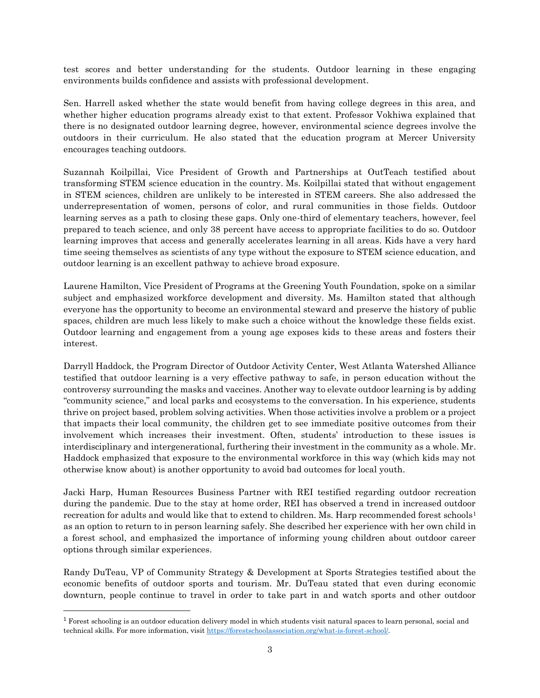test scores and better understanding for the students. Outdoor learning in these engaging environments builds confidence and assists with professional development.

Sen. Harrell asked whether the state would benefit from having college degrees in this area, and whether higher education programs already exist to that extent. Professor Vokhiwa explained that there is no designated outdoor learning degree, however, environmental science degrees involve the outdoors in their curriculum. He also stated that the education program at Mercer University encourages teaching outdoors.

Suzannah Koilpillai, Vice President of Growth and Partnerships at OutTeach testified about transforming STEM science education in the country. Ms. Koilpillai stated that without engagement in STEM sciences, children are unlikely to be interested in STEM careers. She also addressed the underrepresentation of women, persons of color, and rural communities in those fields. Outdoor learning serves as a path to closing these gaps. Only one-third of elementary teachers, however, feel prepared to teach science, and only 38 percent have access to appropriate facilities to do so. Outdoor learning improves that access and generally accelerates learning in all areas. Kids have a very hard time seeing themselves as scientists of any type without the exposure to STEM science education, and outdoor learning is an excellent pathway to achieve broad exposure.

Laurene Hamilton, Vice President of Programs at the Greening Youth Foundation, spoke on a similar subject and emphasized workforce development and diversity. Ms. Hamilton stated that although everyone has the opportunity to become an environmental steward and preserve the history of public spaces, children are much less likely to make such a choice without the knowledge these fields exist. Outdoor learning and engagement from a young age exposes kids to these areas and fosters their interest.

Darryll Haddock, the Program Director of Outdoor Activity Center, West Atlanta Watershed Alliance testified that outdoor learning is a very effective pathway to safe, in person education without the controversy surrounding the masks and vaccines. Another way to elevate outdoor learning is by adding "community science," and local parks and ecosystems to the conversation. In his experience, students thrive on project based, problem solving activities. When those activities involve a problem or a project that impacts their local community, the children get to see immediate positive outcomes from their involvement which increases their investment. Often, students' introduction to these issues is interdisciplinary and intergenerational, furthering their investment in the community as a whole. Mr. Haddock emphasized that exposure to the environmental workforce in this way (which kids may not otherwise know about) is another opportunity to avoid bad outcomes for local youth.

Jacki Harp, Human Resources Business Partner with REI testified regarding outdoor recreation during the pandemic. Due to the stay at home order, REI has observed a trend in increased outdoor recreation for adults and would like that to extend to children. Ms. Harp recommended forest schools<sup>1</sup> as an option to return to in person learning safely. She described her experience with her own child in a forest school, and emphasized the importance of informing young children about outdoor career options through similar experiences.

Randy DuTeau, VP of Community Strategy & Development at Sports Strategies testified about the economic benefits of outdoor sports and tourism. Mr. DuTeau stated that even during economic downturn, people continue to travel in order to take part in and watch sports and other outdoor

l

<sup>&</sup>lt;sup>1</sup> Forest schooling is an outdoor education delivery model in which students visit natural spaces to learn personal, social and technical skills. For more information, visi[t https://forestschoolassociation.org/what-is-forest-school/.](https://forestschoolassociation.org/what-is-forest-school/)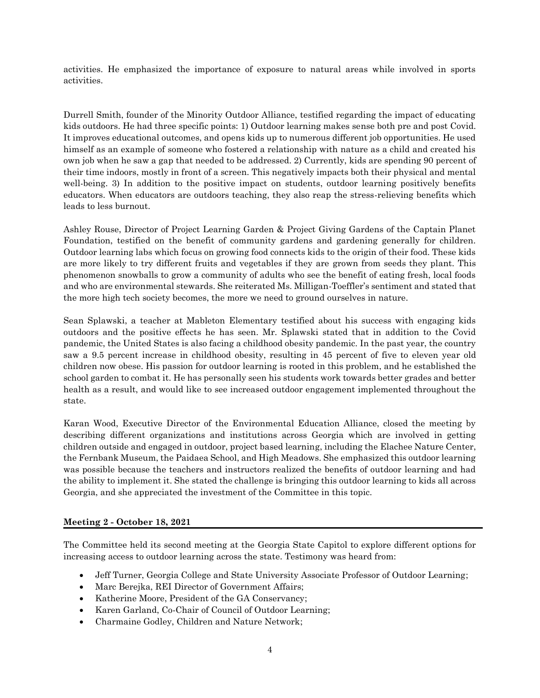activities. He emphasized the importance of exposure to natural areas while involved in sports activities.

Durrell Smith, founder of the Minority Outdoor Alliance, testified regarding the impact of educating kids outdoors. He had three specific points: 1) Outdoor learning makes sense both pre and post Covid. It improves educational outcomes, and opens kids up to numerous different job opportunities. He used himself as an example of someone who fostered a relationship with nature as a child and created his own job when he saw a gap that needed to be addressed. 2) Currently, kids are spending 90 percent of their time indoors, mostly in front of a screen. This negatively impacts both their physical and mental well-being. 3) In addition to the positive impact on students, outdoor learning positively benefits educators. When educators are outdoors teaching, they also reap the stress-relieving benefits which leads to less burnout.

Ashley Rouse, Director of Project Learning Garden & Project Giving Gardens of the Captain Planet Foundation, testified on the benefit of community gardens and gardening generally for children. Outdoor learning labs which focus on growing food connects kids to the origin of their food. These kids are more likely to try different fruits and vegetables if they are grown from seeds they plant. This phenomenon snowballs to grow a community of adults who see the benefit of eating fresh, local foods and who are environmental stewards. She reiterated Ms. Milligan-Toeffler's sentiment and stated that the more high tech society becomes, the more we need to ground ourselves in nature.

Sean Splawski, a teacher at Mableton Elementary testified about his success with engaging kids outdoors and the positive effects he has seen. Mr. Splawski stated that in addition to the Covid pandemic, the United States is also facing a childhood obesity pandemic. In the past year, the country saw a 9.5 percent increase in childhood obesity, resulting in 45 percent of five to eleven year old children now obese. His passion for outdoor learning is rooted in this problem, and he established the school garden to combat it. He has personally seen his students work towards better grades and better health as a result, and would like to see increased outdoor engagement implemented throughout the state.

Karan Wood, Executive Director of the Environmental Education Alliance, closed the meeting by describing different organizations and institutions across Georgia which are involved in getting children outside and engaged in outdoor, project based learning, including the Elachee Nature Center, the Fernbank Museum, the Paidaea School, and High Meadows. She emphasized this outdoor learning was possible because the teachers and instructors realized the benefits of outdoor learning and had the ability to implement it. She stated the challenge is bringing this outdoor learning to kids all across Georgia, and she appreciated the investment of the Committee in this topic.

#### **Meeting 2 - October 18, 2021**

The Committee held its second meeting at the Georgia State Capitol to explore different options for increasing access to outdoor learning across the state. Testimony was heard from:

- Jeff Turner, Georgia College and State University Associate Professor of Outdoor Learning;
- Marc Berejka, REI Director of Government Affairs;
- Katherine Moore, President of the GA Conservancy;
- Karen Garland, Co-Chair of Council of Outdoor Learning;
- Charmaine Godley, Children and Nature Network;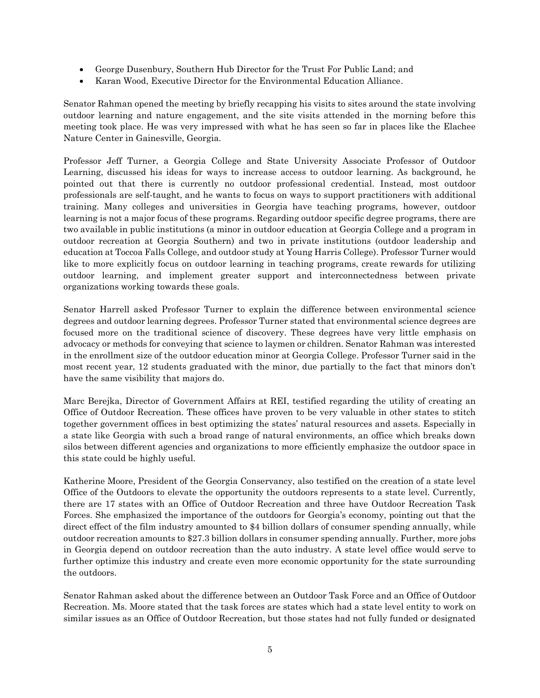- George Dusenbury, Southern Hub Director for the Trust For Public Land; and
- Karan Wood, Executive Director for the Environmental Education Alliance.

Senator Rahman opened the meeting by briefly recapping his visits to sites around the state involving outdoor learning and nature engagement, and the site visits attended in the morning before this meeting took place. He was very impressed with what he has seen so far in places like the Elachee Nature Center in Gainesville, Georgia.

Professor Jeff Turner, a Georgia College and State University Associate Professor of Outdoor Learning, discussed his ideas for ways to increase access to outdoor learning. As background, he pointed out that there is currently no outdoor professional credential. Instead, most outdoor professionals are self-taught, and he wants to focus on ways to support practitioners with additional training. Many colleges and universities in Georgia have teaching programs, however, outdoor learning is not a major focus of these programs. Regarding outdoor specific degree programs, there are two available in public institutions (a minor in outdoor education at Georgia College and a program in outdoor recreation at Georgia Southern) and two in private institutions (outdoor leadership and education at Toccoa Falls College, and outdoor study at Young Harris College). Professor Turner would like to more explicitly focus on outdoor learning in teaching programs, create rewards for utilizing outdoor learning, and implement greater support and interconnectedness between private organizations working towards these goals.

Senator Harrell asked Professor Turner to explain the difference between environmental science degrees and outdoor learning degrees. Professor Turner stated that environmental science degrees are focused more on the traditional science of discovery. These degrees have very little emphasis on advocacy or methods for conveying that science to laymen or children. Senator Rahman was interested in the enrollment size of the outdoor education minor at Georgia College. Professor Turner said in the most recent year, 12 students graduated with the minor, due partially to the fact that minors don't have the same visibility that majors do.

Marc Berejka, Director of Government Affairs at REI, testified regarding the utility of creating an Office of Outdoor Recreation. These offices have proven to be very valuable in other states to stitch together government offices in best optimizing the states' natural resources and assets. Especially in a state like Georgia with such a broad range of natural environments, an office which breaks down silos between different agencies and organizations to more efficiently emphasize the outdoor space in this state could be highly useful.

Katherine Moore, President of the Georgia Conservancy, also testified on the creation of a state level Office of the Outdoors to elevate the opportunity the outdoors represents to a state level. Currently, there are 17 states with an Office of Outdoor Recreation and three have Outdoor Recreation Task Forces. She emphasized the importance of the outdoors for Georgia's economy, pointing out that the direct effect of the film industry amounted to \$4 billion dollars of consumer spending annually, while outdoor recreation amounts to \$27.3 billion dollars in consumer spending annually. Further, more jobs in Georgia depend on outdoor recreation than the auto industry. A state level office would serve to further optimize this industry and create even more economic opportunity for the state surrounding the outdoors.

Senator Rahman asked about the difference between an Outdoor Task Force and an Office of Outdoor Recreation. Ms. Moore stated that the task forces are states which had a state level entity to work on similar issues as an Office of Outdoor Recreation, but those states had not fully funded or designated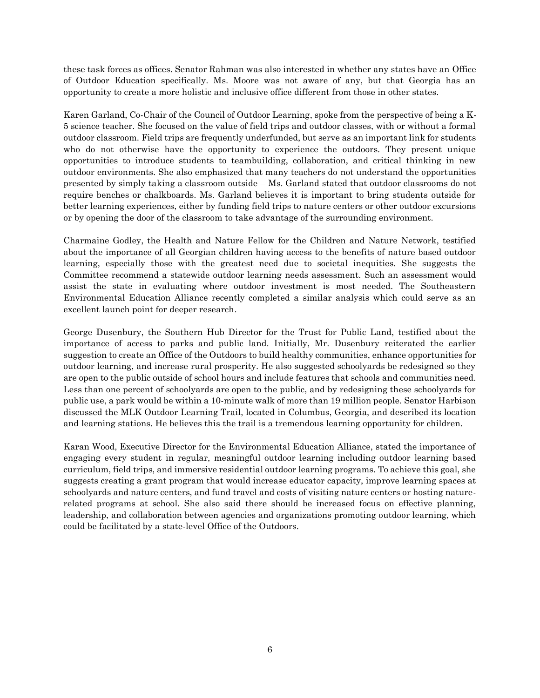these task forces as offices. Senator Rahman was also interested in whether any states have an Office of Outdoor Education specifically. Ms. Moore was not aware of any, but that Georgia has an opportunity to create a more holistic and inclusive office different from those in other states.

Karen Garland, Co-Chair of the Council of Outdoor Learning, spoke from the perspective of being a K-5 science teacher. She focused on the value of field trips and outdoor classes, with or without a formal outdoor classroom. Field trips are frequently underfunded, but serve as an important link for students who do not otherwise have the opportunity to experience the outdoors. They present unique opportunities to introduce students to teambuilding, collaboration, and critical thinking in new outdoor environments. She also emphasized that many teachers do not understand the opportunities presented by simply taking a classroom outside – Ms. Garland stated that outdoor classrooms do not require benches or chalkboards. Ms. Garland believes it is important to bring students outside for better learning experiences, either by funding field trips to nature centers or other outdoor excursions or by opening the door of the classroom to take advantage of the surrounding environment.

Charmaine Godley, the Health and Nature Fellow for the Children and Nature Network, testified about the importance of all Georgian children having access to the benefits of nature based outdoor learning, especially those with the greatest need due to societal inequities. She suggests the Committee recommend a statewide outdoor learning needs assessment. Such an assessment would assist the state in evaluating where outdoor investment is most needed. The Southeastern Environmental Education Alliance recently completed a similar analysis which could serve as an excellent launch point for deeper research.

George Dusenbury, the Southern Hub Director for the Trust for Public Land, testified about the importance of access to parks and public land. Initially, Mr. Dusenbury reiterated the earlier suggestion to create an Office of the Outdoors to build healthy communities, enhance opportunities for outdoor learning, and increase rural prosperity. He also suggested schoolyards be redesigned so they are open to the public outside of school hours and include features that schools and communities need. Less than one percent of schoolyards are open to the public, and by redesigning these schoolyards for public use, a park would be within a 10-minute walk of more than 19 million people. Senator Harbison discussed the MLK Outdoor Learning Trail, located in Columbus, Georgia, and described its location and learning stations. He believes this the trail is a tremendous learning opportunity for children.

Karan Wood, Executive Director for the Environmental Education Alliance, stated the importance of engaging every student in regular, meaningful outdoor learning including outdoor learning based curriculum, field trips, and immersive residential outdoor learning programs. To achieve this goal, she suggests creating a grant program that would increase educator capacity, improve learning spaces at schoolyards and nature centers, and fund travel and costs of visiting nature centers or hosting naturerelated programs at school. She also said there should be increased focus on effective planning, leadership, and collaboration between agencies and organizations promoting outdoor learning, which could be facilitated by a state-level Office of the Outdoors.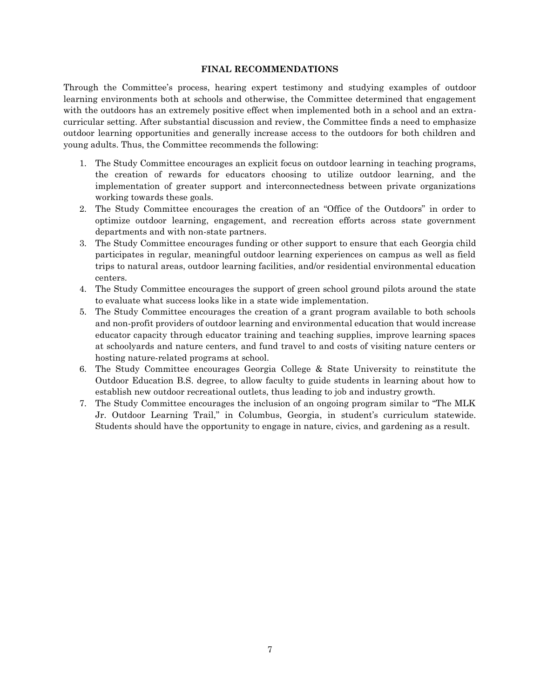#### **FINAL RECOMMENDATIONS**

Through the Committee's process, hearing expert testimony and studying examples of outdoor learning environments both at schools and otherwise, the Committee determined that engagement with the outdoors has an extremely positive effect when implemented both in a school and an extracurricular setting. After substantial discussion and review, the Committee finds a need to emphasize outdoor learning opportunities and generally increase access to the outdoors for both children and young adults. Thus, the Committee recommends the following:

- 1. The Study Committee encourages an explicit focus on outdoor learning in teaching programs, the creation of rewards for educators choosing to utilize outdoor learning, and the implementation of greater support and interconnectedness between private organizations working towards these goals.
- 2. The Study Committee encourages the creation of an "Office of the Outdoors" in order to optimize outdoor learning, engagement, and recreation efforts across state government departments and with non-state partners.
- 3. The Study Committee encourages funding or other support to ensure that each Georgia child participates in regular, meaningful outdoor learning experiences on campus as well as field trips to natural areas, outdoor learning facilities, and/or residential environmental education centers.
- 4. The Study Committee encourages the support of green school ground pilots around the state to evaluate what success looks like in a state wide implementation.
- 5. The Study Committee encourages the creation of a grant program available to both schools and non-profit providers of outdoor learning and environmental education that would increase educator capacity through educator training and teaching supplies, improve learning spaces at schoolyards and nature centers, and fund travel to and costs of visiting nature centers or hosting nature-related programs at school.
- 6. The Study Committee encourages Georgia College & State University to reinstitute the Outdoor Education B.S. degree, to allow faculty to guide students in learning about how to establish new outdoor recreational outlets, thus leading to job and industry growth.
- 7. The Study Committee encourages the inclusion of an ongoing program similar to "The MLK Jr. Outdoor Learning Trail," in Columbus, Georgia, in student's curriculum statewide. Students should have the opportunity to engage in nature, civics, and gardening as a result.